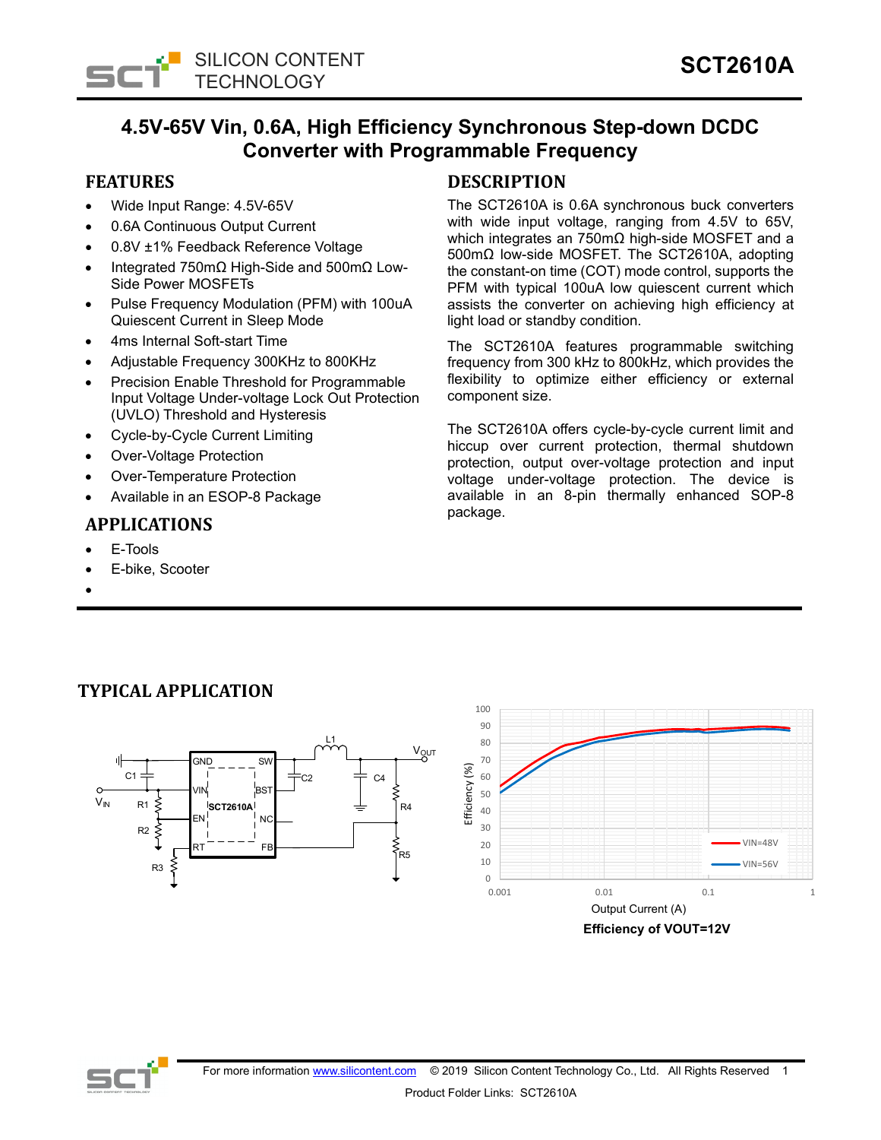

# **4.5V-65V Vin, 0.6A, High Efficiency Synchronous Step-down DCDC Converter with Programmable Frequency**

## **FEATURES**

- Wide Input Range: 4.5V-65V
- 0.6A Continuous Output Current
- 0.8V ±1% Feedback Reference Voltage
- Integrated 750mΩ High-Side and 500mΩ Low-Side Power MOSFETs
- Pulse Frequency Modulation (PFM) with 100uA Quiescent Current in Sleep Mode
- 4ms Internal Soft-start Time
- Adjustable Frequency 300KHz to 800KHz
- Precision Enable Threshold for Programmable Input Voltage Under-voltage Lock Out Protection (UVLO) Threshold and Hysteresis
- Cycle-by-Cycle Current Limiting
- Over-Voltage Protection
- Over-Temperature Protection
- Available in an ESOP-8 Package

## **APPLICATIONS**

- E-Tools
- E-bike, Scooter

## •

## **DESCRIPTION**

The SCT2610A is 0.6A synchronous buck converters with wide input voltage, ranging from 4.5V to 65V, which integrates an 750mΩ high-side MOSFET and a 500mΩ low-side MOSFET. The SCT2610A, adopting the constant-on time (COT) mode control, supports the PFM with typical 100uA low quiescent current which assists the converter on achieving high efficiency at light load or standby condition.

The SCT2610A features programmable switching frequency from 300 kHz to 800kHz, which provides the flexibility to optimize either efficiency or external component size.

The SCT2610A offers cycle-by-cycle current limit and hiccup over current protection, thermal shutdown protection, output over-voltage protection and input voltage under-voltage protection. The device is available in an 8-pin thermally enhanced SOP-8 package.







# **TYPICAL APPLICATION**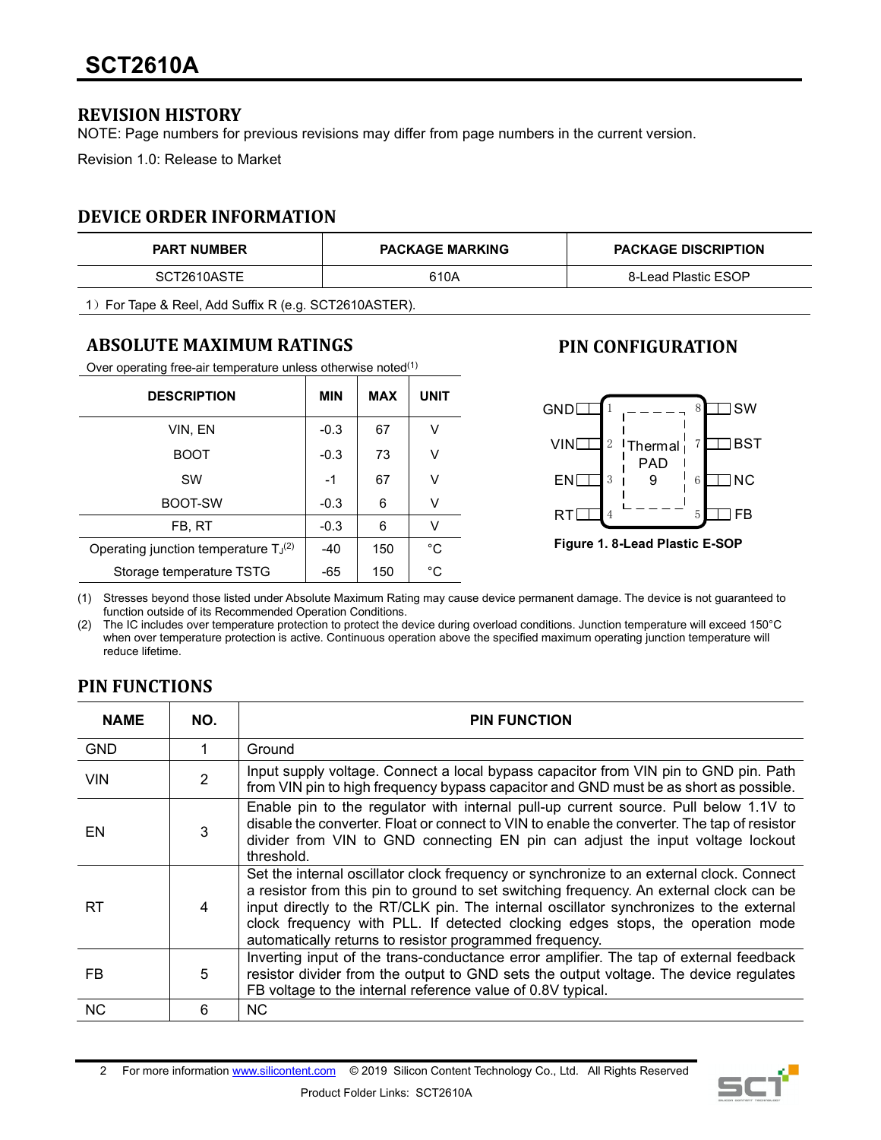## **REVISION HISTORY**

NOTE: Page numbers for previous revisions may differ from page numbers in the current version.

Revision 1.0: Release to Market

# **DEVICE ORDER INFORMATION**

| <b>PART NUMBER</b> | <b>PACKAGE MARKING</b> | <b>PACKAGE DISCRIPTION</b> |
|--------------------|------------------------|----------------------------|
| SCT2610ASTF        | 610A                   | 8-Lead Plastic ESOP        |

1) For Tape & Reel, Add Suffix R (e.g. SCT2610ASTER).

# **ABSOLUTE MAXIMUM RATINGS**

Over operating free-air temperature unless otherwise noted<sup>(1)</sup>

| <b>DESCRIPTION</b>                     | <b>MIN</b> | <b>MAX</b> | <b>UNIT</b> |
|----------------------------------------|------------|------------|-------------|
| VIN, EN                                | $-0.3$     | 67         | V           |
| <b>BOOT</b>                            | $-0.3$     | 73         | V           |
| SW                                     | $-1$       | 67         | V           |
| <b>BOOT-SW</b>                         | $-0.3$     | 6          | ٧           |
| FB, RT                                 | $-0.3$     | 6          | ٧           |
| Operating junction temperature $TJ(2)$ | $-40$      | 150        | °C          |
| Storage temperature TSTG               | -65        | 150        | °C          |

# **PIN CONFIGURATION**



(1) Stresses beyond those listed under Absolute Maximum Rating may cause device permanent damage. The device is not guaranteed to function outside of its Recommended Operation Conditions.

(2) The IC includes over temperature protection to protect the device during overload conditions. Junction temperature will exceed 150°C when over temperature protection is active. Continuous operation above the specified maximum operating junction temperature will reduce lifetime.

# **PIN FUNCTIONS**

| <b>NAME</b> | NO.            | <b>PIN FUNCTION</b>                                                                                                                                                                                                                                                                                                                                                                                                        |
|-------------|----------------|----------------------------------------------------------------------------------------------------------------------------------------------------------------------------------------------------------------------------------------------------------------------------------------------------------------------------------------------------------------------------------------------------------------------------|
| <b>GND</b>  |                | Ground                                                                                                                                                                                                                                                                                                                                                                                                                     |
| <b>VIN</b>  | $\overline{2}$ | Input supply voltage. Connect a local bypass capacitor from VIN pin to GND pin. Path<br>from VIN pin to high frequency bypass capacitor and GND must be as short as possible.                                                                                                                                                                                                                                              |
| EN.         | 3              | Enable pin to the regulator with internal pull-up current source. Pull below 1.1V to<br>disable the converter. Float or connect to VIN to enable the converter. The tap of resistor<br>divider from VIN to GND connecting EN pin can adjust the input voltage lockout<br>threshold.                                                                                                                                        |
| RT          | 4              | Set the internal oscillator clock frequency or synchronize to an external clock. Connect<br>a resistor from this pin to ground to set switching frequency. An external clock can be<br>input directly to the RT/CLK pin. The internal oscillator synchronizes to the external<br>clock frequency with PLL. If detected clocking edges stops, the operation mode<br>automatically returns to resistor programmed frequency. |
| FB.         | 5              | Inverting input of the trans-conductance error amplifier. The tap of external feedback<br>resistor divider from the output to GND sets the output voltage. The device regulates<br>FB voltage to the internal reference value of 0.8V typical.                                                                                                                                                                             |
| <b>NC</b>   | 6              | NC.                                                                                                                                                                                                                                                                                                                                                                                                                        |

2 For more informatio[n www.silicontent.com](http://www.silicontent.com/) © 2019 Silicon Content Technology Co., Ltd. All Rights Reserved

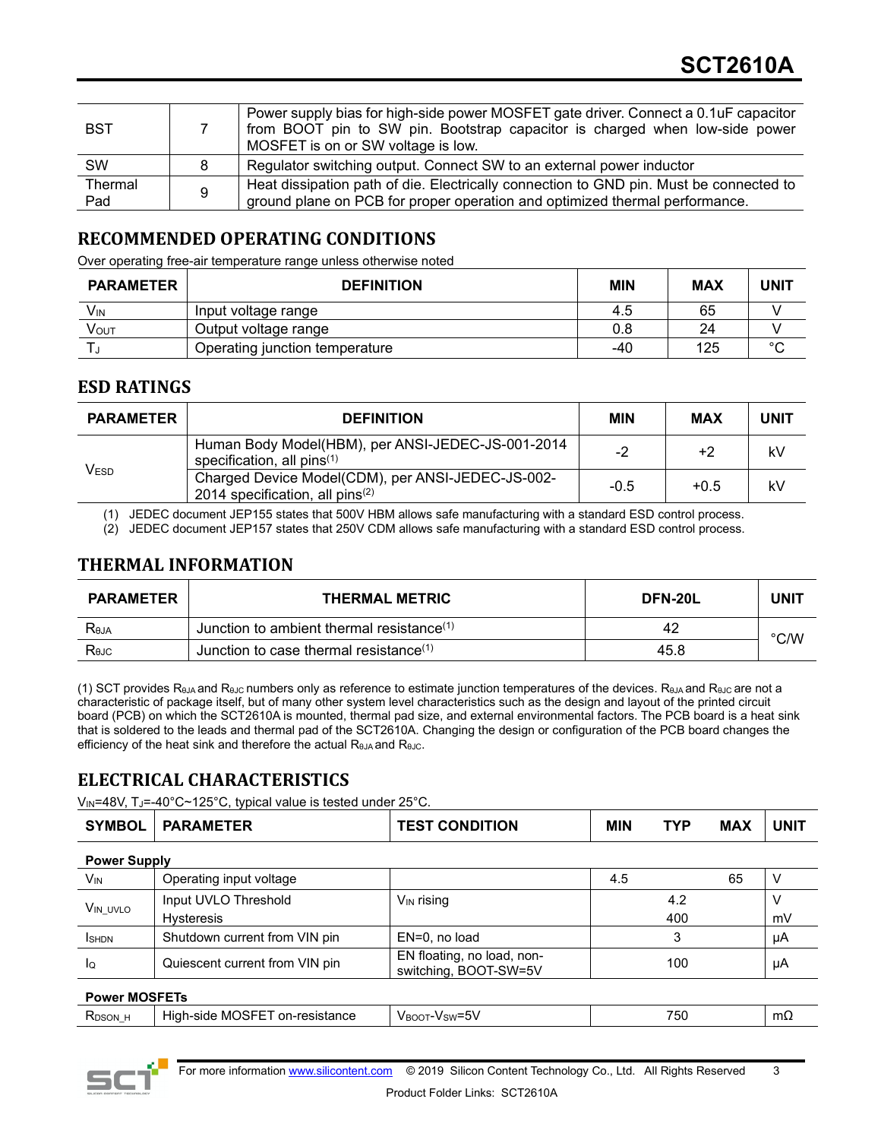| <b>BST</b>     |   | Power supply bias for high-side power MOSFET gate driver. Connect a 0.1uF capacitor<br>from BOOT pin to SW pin. Bootstrap capacitor is charged when low-side power<br>MOSFET is on or SW voltage is low. |
|----------------|---|----------------------------------------------------------------------------------------------------------------------------------------------------------------------------------------------------------|
| <b>SW</b>      |   | Regulator switching output. Connect SW to an external power inductor                                                                                                                                     |
| Thermal<br>Pad | 9 | Heat dissipation path of die. Electrically connection to GND pin. Must be connected to<br>ground plane on PCB for proper operation and optimized thermal performance.                                    |

## **RECOMMENDED OPERATING CONDITIONS**

Over operating free-air temperature range unless otherwise noted

| <b>PARAMETER</b> | <b>DEFINITION</b>              | MIN   | MAX | UNIT   |
|------------------|--------------------------------|-------|-----|--------|
| Vın              | Input voltage range            | 4.5   | 65  |        |
| Vουτ             | Output voltage range           | 0.8   | 24  |        |
|                  | Operating junction temperature | $-40$ | 125 | $\sim$ |

## **ESD RATINGS**

| <b>PARAMETER</b> | <b>DEFINITION</b>                                                                       | <b>MIN</b> | MAX    | <b>UNIT</b> |
|------------------|-----------------------------------------------------------------------------------------|------------|--------|-------------|
| <b>VESD</b>      | Human Body Model(HBM), per ANSI-JEDEC-JS-001-2014<br>specification, all pins $(1)$      | -2         | +2     | kV          |
|                  | Charged Device Model(CDM), per ANSI-JEDEC-JS-002-<br>2014 specification, all pins $(2)$ | $-0.5$     | $+0.5$ | kV          |

(1) JEDEC document JEP155 states that 500V HBM allows safe manufacturing with a standard ESD control process.

(2) JEDEC document JEP157 states that 250V CDM allows safe manufacturing with a standard ESD control process.

## **THERMAL INFORMATION**

| <b>PARAMETER</b> | <b>THERMAL METRIC</b>                        | <b>DFN-20L</b> | UNIT          |
|------------------|----------------------------------------------|----------------|---------------|
| R <sub>eja</sub> | Junction to ambient thermal resistance $(1)$ | 42             | $\degree$ C/W |
| Rejc             | Junction to case thermal resistance $(1)$    | 45.8           |               |

(1) SCT provides R<sub>θJA</sub> and R<sub>θJC</sub> numbers only as reference to estimate junction temperatures of the devices. R<sub>θJA</sub> and R<sub>θJC</sub> are not a characteristic of package itself, but of many other system level characteristics such as the design and layout of the printed circuit board (PCB) on which the SCT2610A is mounted, thermal pad size, and external environmental factors. The PCB board is a heat sink that is soldered to the leads and thermal pad of the SCT2610A. Changing the design or configuration of the PCB board changes the efficiency of the heat sink and therefore the actual  $R_{\theta JA}$  and  $R_{\theta JC}$ .

# **ELECTRICAL CHARACTERISTICS**

V<sub>IN</sub>=48V, T<sub>J</sub>=-40°C~125°C, typical value is tested under 25°C.

|  | SYMRO! | <b>RAMETER</b><br>ப | T CONDITION | <b>MIN</b> | <b>TVD</b> | <b>MAX</b> | JNI |
|--|--------|---------------------|-------------|------------|------------|------------|-----|
|--|--------|---------------------|-------------|------------|------------|------------|-----|

| <b>Power Supply</b>   |                                |                                                     |     |    |    |
|-----------------------|--------------------------------|-----------------------------------------------------|-----|----|----|
| <b>V<sub>IN</sub></b> | Operating input voltage        |                                                     | 4.5 | 65 |    |
| VIN UVLO              | Input UVLO Threshold           | $V_{IN}$ rising                                     | 4.2 |    |    |
|                       | <b>Hysteresis</b>              |                                                     | 400 |    | mV |
| <b>I</b> SHDN         | Shutdown current from VIN pin  | EN=0, no load                                       |     |    | μA |
| lo                    | Quiescent current from VIN pin | EN floating, no load, non-<br>switching, BOOT-SW=5V | 100 |    | μA |
| <b>Power MOSFFTs</b>  |                                |                                                     |     |    |    |

| UWGI INUUI LIJ                           |                                                                          |                                   |                    |    |
|------------------------------------------|--------------------------------------------------------------------------|-----------------------------------|--------------------|----|
| <b>KDSON</b><br>$\overline{\phantom{0}}$ | ----<br>DSEE.<br>resistance<br>M0<br>n-side<br><b>High</b><br>on-i<br>,, | <b>VBOOT</b><br>$'$ SM $-$<br>ີບ∨ | $-$<br>'5L<br>$ -$ | mΩ |
|                                          |                                                                          |                                   |                    |    |

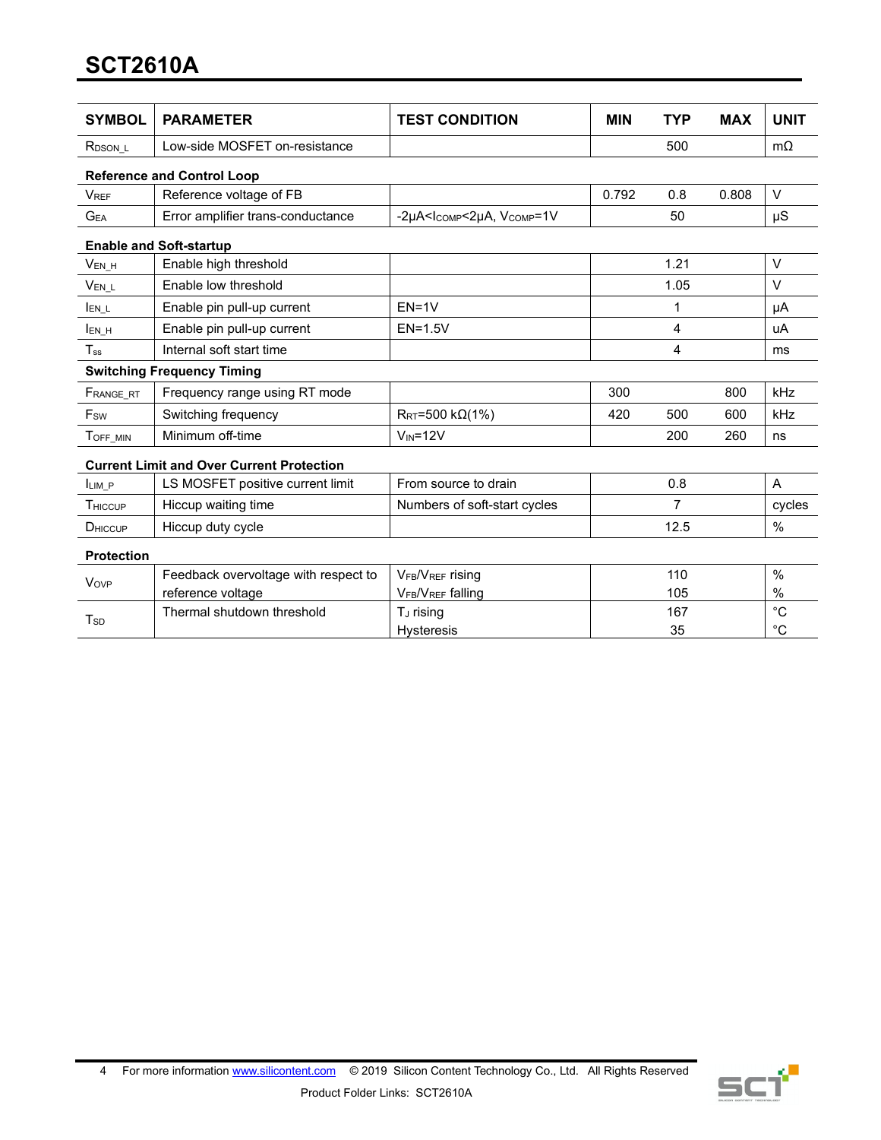# **SCT2610A**

| <b>SYMBOL</b>       | <b>PARAMETER</b>                                 | <b>TEST CONDITION</b>                                                                                    | <b>MIN</b> | <b>TYP</b> | <b>MAX</b> | <b>UNIT</b>   |
|---------------------|--------------------------------------------------|----------------------------------------------------------------------------------------------------------|------------|------------|------------|---------------|
| R <sub>DSON</sub> L | Low-side MOSFET on-resistance                    |                                                                                                          |            | 500        |            | $m\Omega$     |
|                     | <b>Reference and Control Loop</b>                |                                                                                                          |            |            |            |               |
| <b>VREF</b>         | Reference voltage of FB                          |                                                                                                          | 0.792      | 0.8        | 0.808      | $\vee$        |
| <b>GEA</b>          | Error amplifier trans-conductance                | -2µA <icomp<2µa, vcomp="1V&lt;/td"><td></td><td>50</td><td></td><td><math>\mu S</math></td></icomp<2µa,> |            | 50         |            | $\mu S$       |
|                     | <b>Enable and Soft-startup</b>                   |                                                                                                          |            |            |            |               |
| $V_{EN_H}$          | Enable high threshold                            |                                                                                                          |            | 1.21       |            | $\vee$        |
| $V_{EN_L}$          | Enable low threshold                             |                                                                                                          |            | 1.05       |            | $\vee$        |
| $I_{EN\_L}$         | Enable pin pull-up current                       | $EN=1V$                                                                                                  |            | 1          |            | μA            |
| I <sub>EN</sub> H   | Enable pin pull-up current                       | <b>EN=1.5V</b>                                                                                           |            | 4          |            | uA            |
| $T_{ss}$            | Internal soft start time                         |                                                                                                          |            | 4          |            | ms            |
|                     | <b>Switching Frequency Timing</b>                |                                                                                                          |            |            |            |               |
| FRANGE_RT           | Frequency range using RT mode                    |                                                                                                          | 300        |            | 800        | kHz           |
| Fsw                 | Switching frequency                              | $R_{RT}$ =500 k $\Omega$ (1%)                                                                            | 420        | 500        | 600        | kHz           |
| TOFF_MIN            | Minimum off-time                                 | $V_{IN} = 12V$                                                                                           |            | 200        | 260        | ns            |
|                     | <b>Current Limit and Over Current Protection</b> |                                                                                                          |            |            |            |               |
| LIM P               | LS MOSFET positive current limit                 | From source to drain                                                                                     |            | 0.8        |            | A             |
| THICCUP             | Hiccup waiting time                              | Numbers of soft-start cycles                                                                             |            | 7          |            | cycles        |
| DHICCUP             | Hiccup duty cycle                                |                                                                                                          |            | 12.5       |            | $\frac{0}{0}$ |
| <b>Protection</b>   |                                                  |                                                                                                          |            |            |            |               |
| Vove                | Feedback overvoltage with respect to             | $V_{FB}/V_{REF}$ rising                                                                                  |            | 110        |            | $\frac{0}{0}$ |
|                     | reference voltage                                | V <sub>FB</sub> /V <sub>REF</sub> falling                                                                |            | 105        |            | $\frac{0}{0}$ |
| $T_{SD}$            | Thermal shutdown threshold                       | T <sub>J</sub> rising                                                                                    |            | 167        |            | $^{\circ}C$   |
|                     |                                                  | <b>Hysteresis</b>                                                                                        |            | 35         |            | $^{\circ}C$   |

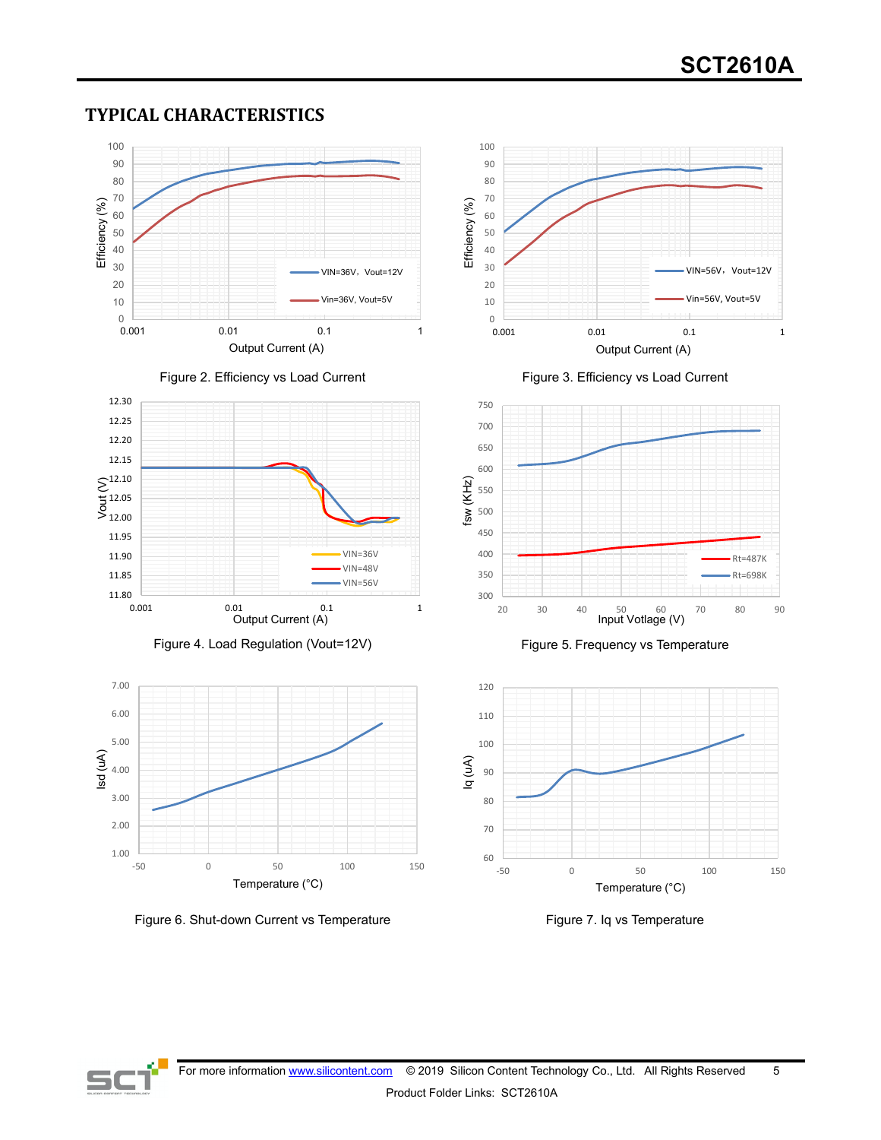# **SCT2610A**

## **TYPICAL CHARACTERISTICS**



Figure 6. Shut-down Current vs Temperature Figure 7. Iq vs Temperature

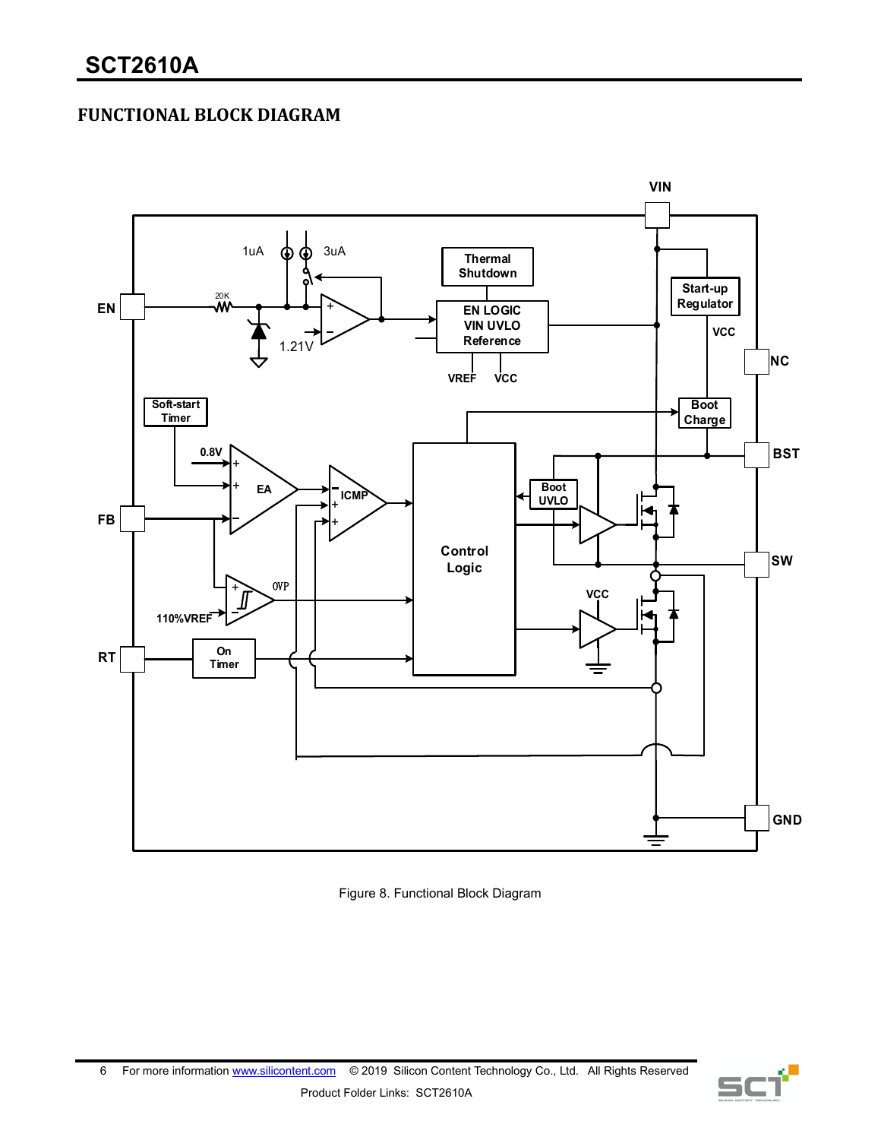# **FUNCTIONAL BLOCK DIAGRAM**



Figure 8. Functional Block Diagram



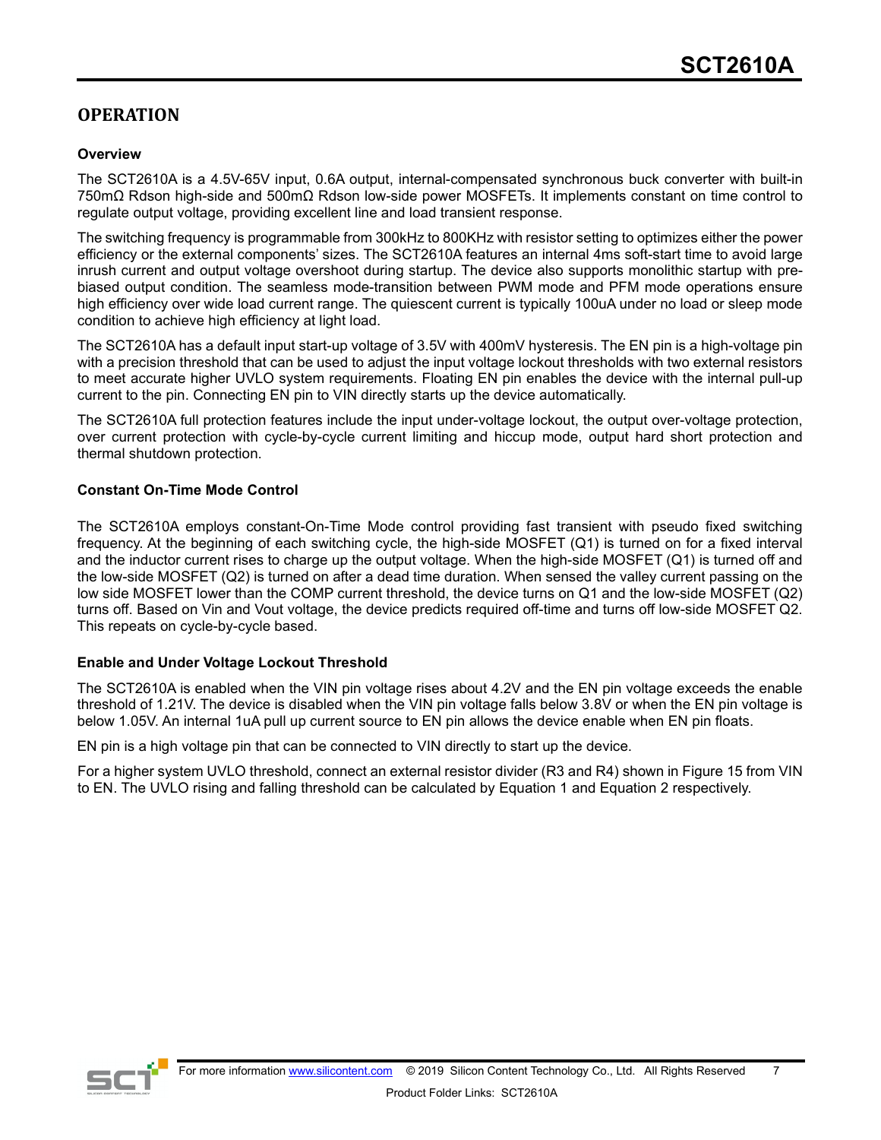## **OPERATION**

#### **Overview**

The SCT2610A is a 4.5V-65V input, 0.6A output, internal-compensated synchronous buck converter with built-in 750mΩ Rdson high-side and 500mΩ Rdson low-side power MOSFETs. It implements constant on time control to regulate output voltage, providing excellent line and load transient response.

The switching frequency is programmable from 300kHz to 800KHz with resistor setting to optimizes either the power efficiency or the external components' sizes. The SCT2610A features an internal 4ms soft-start time to avoid large inrush current and output voltage overshoot during startup. The device also supports monolithic startup with prebiased output condition. The seamless mode-transition between PWM mode and PFM mode operations ensure high efficiency over wide load current range. The quiescent current is typically 100uA under no load or sleep mode condition to achieve high efficiency at light load.

The SCT2610A has a default input start-up voltage of 3.5V with 400mV hysteresis. The EN pin is a high-voltage pin with a precision threshold that can be used to adjust the input voltage lockout thresholds with two external resistors to meet accurate higher UVLO system requirements. Floating EN pin enables the device with the internal pull-up current to the pin. Connecting EN pin to VIN directly starts up the device automatically.

The SCT2610A full protection features include the input under-voltage lockout, the output over-voltage protection, over current protection with cycle-by-cycle current limiting and hiccup mode, output hard short protection and thermal shutdown protection.

#### **Constant On-Time Mode Control**

The SCT2610A employs constant-On-Time Mode control providing fast transient with pseudo fixed switching frequency. At the beginning of each switching cycle, the high-side MOSFET (Q1) is turned on for a fixed interval and the inductor current rises to charge up the output voltage. When the high-side MOSFET (Q1) is turned off and the low-side MOSFET (Q2) is turned on after a dead time duration. When sensed the valley current passing on the low side MOSFET lower than the COMP current threshold, the device turns on Q1 and the low-side MOSFET (Q2) turns off. Based on Vin and Vout voltage, the device predicts required off-time and turns off low-side MOSFET Q2. This repeats on cycle-by-cycle based.

#### **Enable and Under Voltage Lockout Threshold**

The SCT2610A is enabled when the VIN pin voltage rises about 4.2V and the EN pin voltage exceeds the enable threshold of 1.21V. The device is disabled when the VIN pin voltage falls below 3.8V or when the EN pin voltage is below 1.05V. An internal 1uA pull up current source to EN pin allows the device enable when EN pin floats.

EN pin is a high voltage pin that can be connected to VIN directly to start up the device.

For a higher system UVLO threshold, connect an external resistor divider (R3 and R4) shown in Figure 15 from VIN to EN. The UVLO rising and falling threshold can be calculated by Equation 1 and Equation 2 respectively.

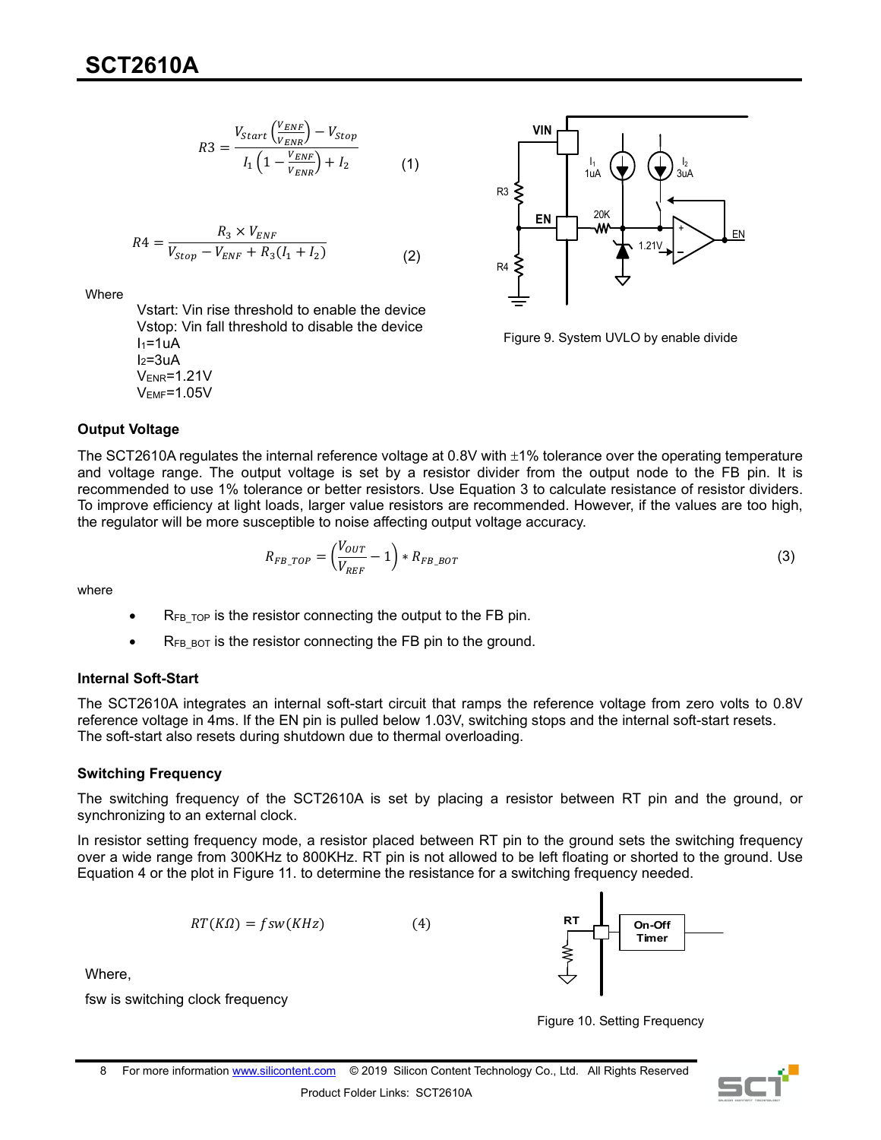$$
R3 = \frac{V_{Start}\left(\frac{V_{ENE}}{V_{ENE}}\right) - V_{Stop}}{I_1\left(1 - \frac{V_{ENE}}{V_{ENE}}\right) + I_2}
$$
(1)

$$
R4 = \frac{R_3 \times V_{ENF}}{V_{Stop} - V_{ENF} + R_3(I_1 + I_2)}
$$
(2)

**Where** 

Vstart: Vin rise threshold to enable the device Vstop: Vin fall threshold to disable the device  $I_1=1uA$  $I_2 = 3uA$ VENR=1.21V VEMF=1.05V



Figure 9. System UVLO by enable divide

## **Output Voltage**

The SCT2610A regulates the internal reference voltage at 0.8V with  $\pm 1\%$  tolerance over the operating temperature and voltage range. The output voltage is set by a resistor divider from the output node to the FB pin. It is recommended to use 1% tolerance or better resistors. Use Equation 3 to calculate resistance of resistor dividers. To improve efficiency at light loads, larger value resistors are recommended. However, if the values are too high, the regulator will be more susceptible to noise affecting output voltage accuracy.

$$
R_{FB\_TOP} = \left(\frac{V_{OUT}}{V_{REF}} - 1\right) * R_{FB\_BOT} \tag{3}
$$

where

- R<sub>FB TOP</sub> is the resistor connecting the output to the FB pin.
- RFB\_BOT is the resistor connecting the FB pin to the ground.

## **Internal Soft-Start**

The SCT2610A integrates an internal soft-start circuit that ramps the reference voltage from zero volts to 0.8V reference voltage in 4ms. If the EN pin is pulled below 1.03V, switching stops and the internal soft-start resets. The soft-start also resets during shutdown due to thermal overloading.

## **Switching Frequency**

The switching frequency of the SCT2610A is set by placing a resistor between RT pin and the ground, or synchronizing to an external clock.

In resistor setting frequency mode, a resistor placed between RT pin to the ground sets the switching frequency over a wide range from 300KHz to 800KHz. RT pin is not allowed to be left floating or shorted to the ground. Use Equation 4 or the plot in Figure 11. to determine the resistance for a switching frequency needed.

$$
RT(K\Omega) = fsw(KHz)
$$
 (4)

Where,

fsw is switching clock frequency



Figure 10. Setting Frequency

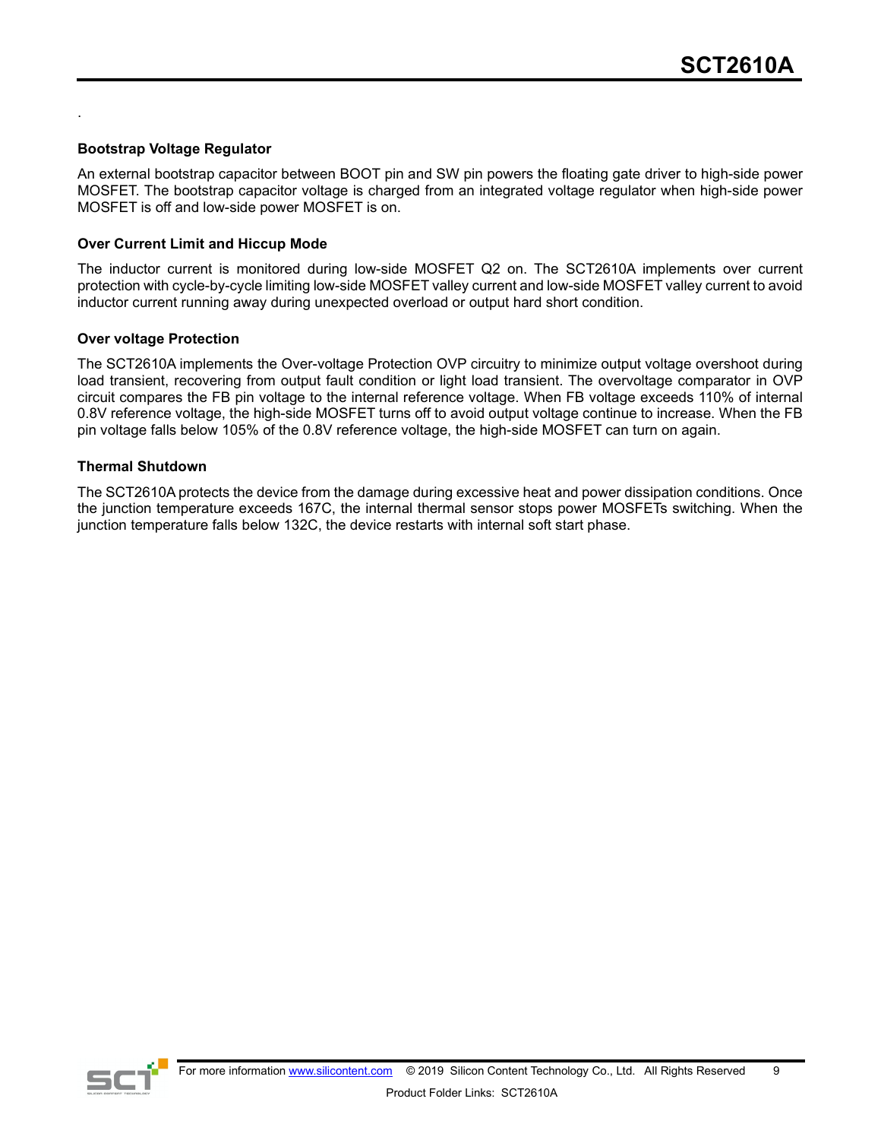#### **Bootstrap Voltage Regulator**

.

An external bootstrap capacitor between BOOT pin and SW pin powers the floating gate driver to high-side power MOSFET. The bootstrap capacitor voltage is charged from an integrated voltage regulator when high-side power MOSFET is off and low-side power MOSFET is on.

#### **Over Current Limit and Hiccup Mode**

The inductor current is monitored during low-side MOSFET Q2 on. The SCT2610A implements over current protection with cycle-by-cycle limiting low-side MOSFET valley current and low-side MOSFET valley current to avoid inductor current running away during unexpected overload or output hard short condition.

#### **Over voltage Protection**

The SCT2610A implements the Over-voltage Protection OVP circuitry to minimize output voltage overshoot during load transient, recovering from output fault condition or light load transient. The overvoltage comparator in OVP circuit compares the FB pin voltage to the internal reference voltage. When FB voltage exceeds 110% of internal 0.8V reference voltage, the high-side MOSFET turns off to avoid output voltage continue to increase. When the FB pin voltage falls below 105% of the 0.8V reference voltage, the high-side MOSFET can turn on again.

#### **Thermal Shutdown**

The SCT2610A protects the device from the damage during excessive heat and power dissipation conditions. Once the junction temperature exceeds 167C, the internal thermal sensor stops power MOSFETs switching. When the junction temperature falls below 132C, the device restarts with internal soft start phase.

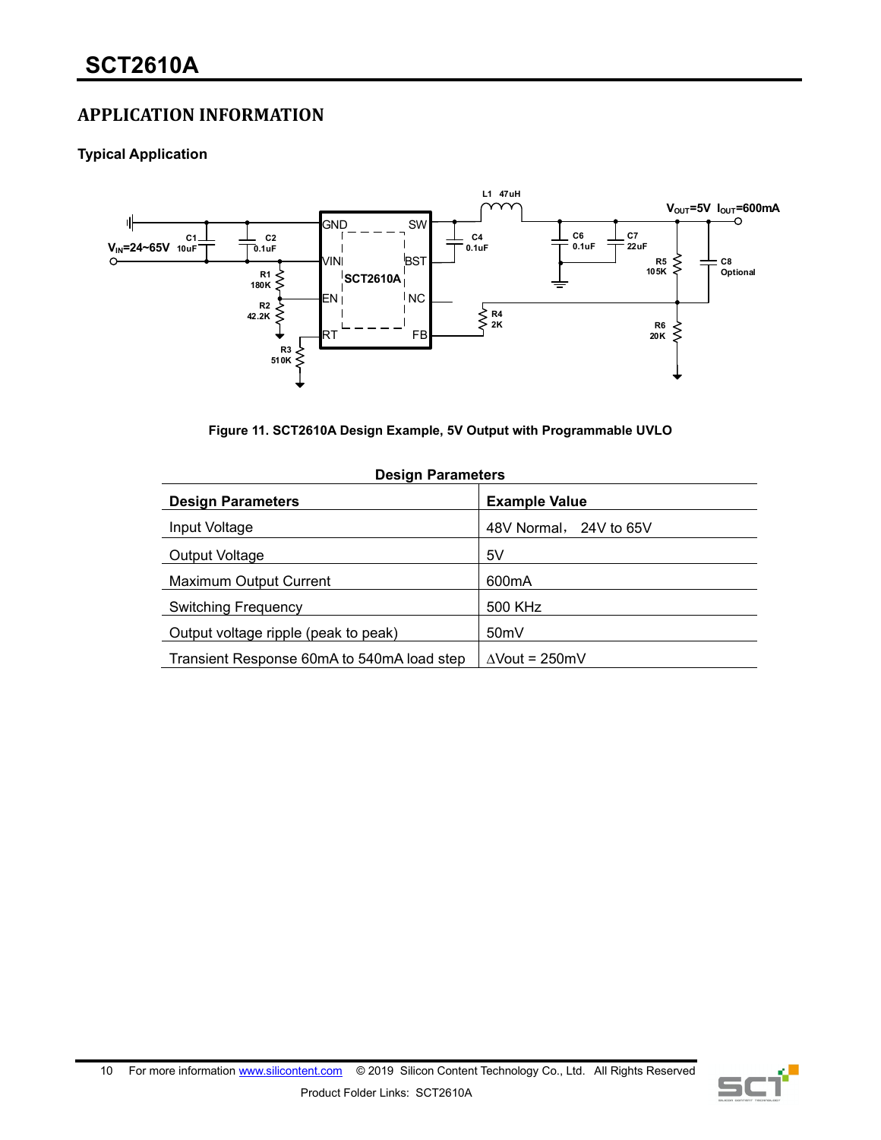# **APPLICATION INFORMATION**

## **Typical Application**



**Figure 11. SCT2610A Design Example, 5V Output with Programmable UVLO**

| <b>Design Parameters</b>                   |                        |  |  |
|--------------------------------------------|------------------------|--|--|
| <b>Design Parameters</b>                   | <b>Example Value</b>   |  |  |
| Input Voltage                              | 48V Normal, 24V to 65V |  |  |
| Output Voltage                             | 5V                     |  |  |
| Maximum Output Current                     | 600 <sub>m</sub> A     |  |  |
| <b>Switching Frequency</b>                 | 500 KHz                |  |  |
| Output voltage ripple (peak to peak)       | 50mV                   |  |  |
| Transient Response 60mA to 540mA load step | $\Delta$ Vout = 250mV  |  |  |

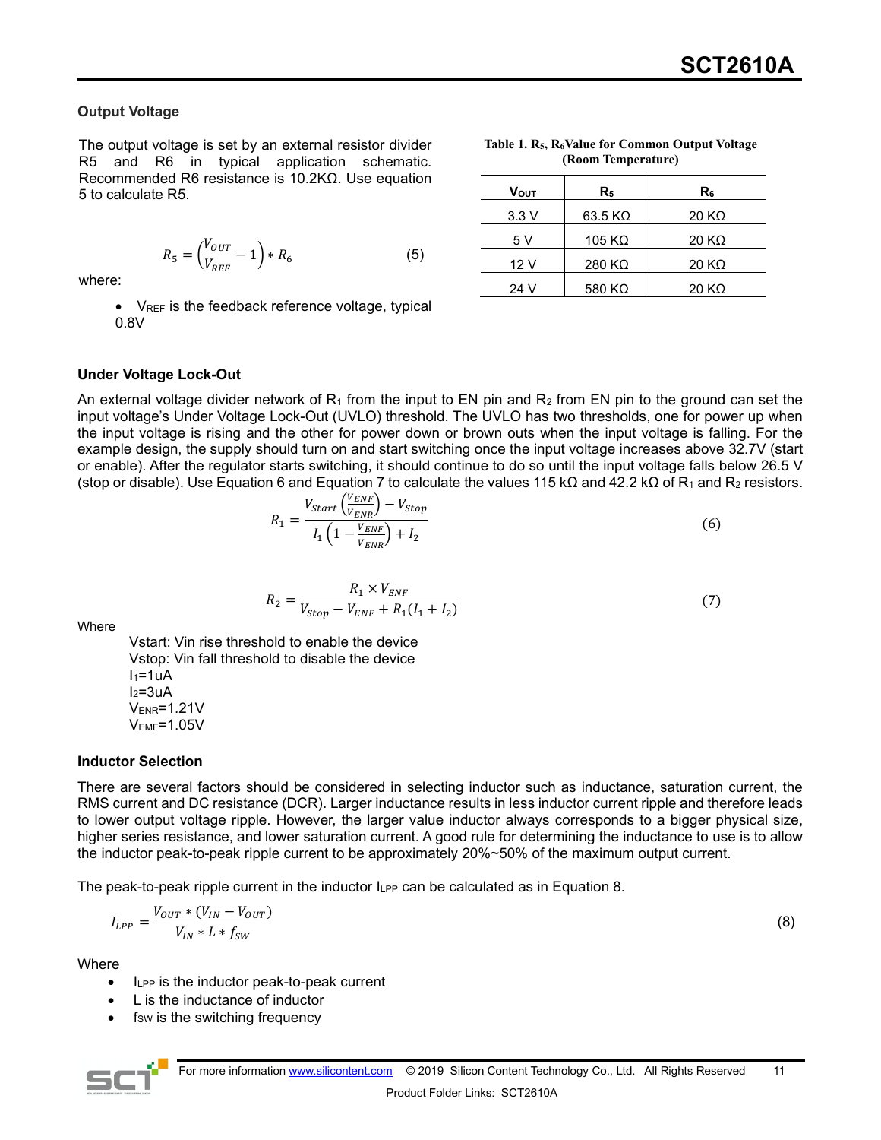$\mathcal{E}$ 

## **Output Voltage**

The output voltage is set by an external resistor divider R5 and R6 in typical application schematic. Recommended R6 resistance is 10.2KΩ. Use equation 5 to calculate R5.

$$
R_5 = \left(\frac{V_{OUT}}{V_{REF}} - 1\right) * R_6 \tag{5}
$$

where:

•  $V_{REF}$  is the feedback reference voltage, typical 0.8V

| Table 1. R5, R6Value for Common Output Voltage |  |  |  |  |  |
|------------------------------------------------|--|--|--|--|--|
| (Room Temperature)                             |  |  |  |  |  |

| Vout | R5        | R۶            |  |
|------|-----------|---------------|--|
| 3.3V | $63.5$ KQ | 20 K $\Omega$ |  |
| 5 V  | $105$ KΩ  | 20 K $\Omega$ |  |
| 12 V | 280 KΩ    | 20 KΩ         |  |
| 24 V | 580 KΩ    | 20 K $\Omega$ |  |

#### **Under Voltage Lock-Out**

An external voltage divider network of  $R_1$  from the input to EN pin and  $R_2$  from EN pin to the ground can set the input voltage's Under Voltage Lock-Out (UVLO) threshold. The UVLO has two thresholds, one for power up when the input voltage is rising and the other for power down or brown outs when the input voltage is falling. For the example design, the supply should turn on and start switching once the input voltage increases above 32.7V (start or enable). After the regulator starts switching, it should continue to do so until the input voltage falls below 26.5 V (stop or disable). Use Equation 6 and Equation 7 to calculate the values 115 kΩ and 42.2 kΩ of R<sub>1</sub> and R<sub>2</sub> resistors.

$$
R_1 = \frac{V_{start}\left(\frac{V_{ENF}}{V_{ENR}}\right) - V_{Stop}}{I_1\left(1 - \frac{V_{ENF}}{V_{ENR}}\right) + I_2}
$$
(6)

$$
R_2 = \frac{R_1 \times V_{ENF}}{V_{Stop} - V_{ENF} + R_1(I_1 + I_2)}
$$
\n(7)

Where

Vstart: Vin rise threshold to enable the device Vstop: Vin fall threshold to disable the device  $I_1=1uA$  $I_2 = 3U$ A VENR=1.21V VEMF=1.05V

#### **Inductor Selection**

There are several factors should be considered in selecting inductor such as inductance, saturation current, the RMS current and DC resistance (DCR). Larger inductance results in less inductor current ripple and therefore leads to lower output voltage ripple. However, the larger value inductor always corresponds to a bigger physical size, higher series resistance, and lower saturation current. A good rule for determining the inductance to use is to allow the inductor peak-to-peak ripple current to be approximately 20%~50% of the maximum output current.

The peak-to-peak ripple current in the inductor  $I_{LPP}$  can be calculated as in Equation 8.

$$
I_{LPP} = \frac{V_{OUT} * (V_{IN} - V_{OUT})}{V_{IN} * L * f_{SW}}
$$
(8)

**Where** 

- ILPP is the inductor peak-to-peak current
- L is the inductance of inductor
- $\bullet$  fsw is the switching frequency

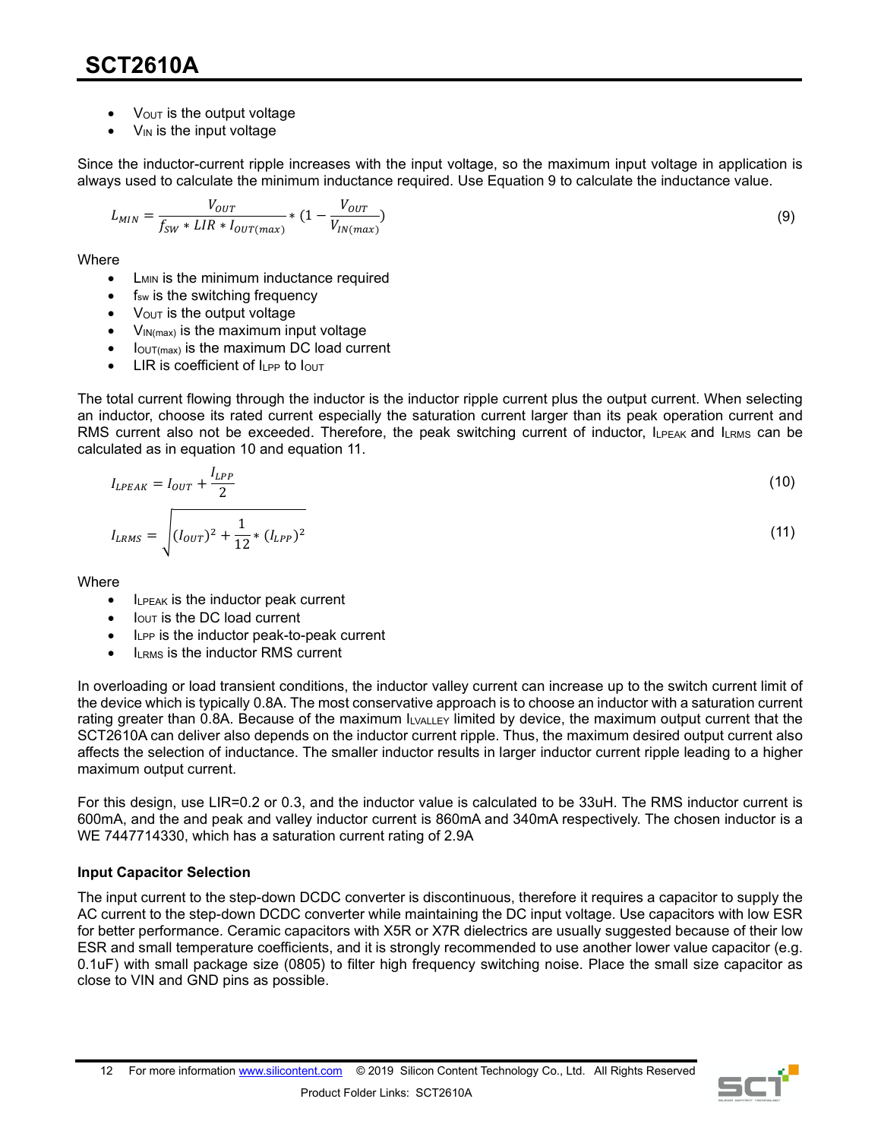- $V_{\text{OUT}}$  is the output voltage
- $\bullet$  V<sub>IN</sub> is the input voltage

Since the inductor-current ripple increases with the input voltage, so the maximum input voltage in application is always used to calculate the minimum inductance required. Use Equation 9 to calculate the inductance value.

$$
L_{MIN} = \frac{V_{OUT}}{f_{SW} * LIR * I_{OUT(max)}} * (1 - \frac{V_{OUT}}{V_{IN(max)}})
$$
(9)

**Where** 

- L<sub>MIN</sub> is the minimum inductance required
- f<sub>sw</sub> is the switching frequency
- $\bullet$  V<sub>OUT</sub> is the output voltage
- $V_{IN(max)}$  is the maximum input voltage
- $I_{\text{OUT(max)}}$  is the maximum DC load current
- $\bullet$  LIR is coefficient of  $\mathsf{LPP}$  to  $\mathsf{IOUT}$

The total current flowing through the inductor is the inductor ripple current plus the output current. When selecting an inductor, choose its rated current especially the saturation current larger than its peak operation current and RMS current also not be exceeded. Therefore, the peak switching current of inductor, ILPEAK and ILRMS can be calculated as in equation 10 and equation 11.

$$
I_{LPEAK} = I_{OUT} + \frac{I_{LPP}}{2}
$$
\n
$$
I_{LRMS} = \sqrt{(I_{OUT})^2 + \frac{1}{12} * (I_{LPP})^2}
$$
\n(11)

**Where** 

- $I_{LPEAK}$  is the inductor peak current
- $\bullet$  I<sub>OUT</sub> is the DC load current
- ILPP is the inductor peak-to-peak current
- $I_{LRMS}$  is the inductor RMS current

In overloading or load transient conditions, the inductor valley current can increase up to the switch current limit of the device which is typically 0.8A. The most conservative approach is to choose an inductor with a saturation current rating greater than 0.8A. Because of the maximum  $I_{LVALU}$  limited by device, the maximum output current that the SCT2610A can deliver also depends on the inductor current ripple. Thus, the maximum desired output current also affects the selection of inductance. The smaller inductor results in larger inductor current ripple leading to a higher maximum output current.

For this design, use LIR=0.2 or 0.3, and the inductor value is calculated to be 33uH. The RMS inductor current is 600mA, and the and peak and valley inductor current is 860mA and 340mA respectively. The chosen inductor is a WE 7447714330, which has a saturation current rating of 2.9A

## **Input Capacitor Selection**

The input current to the step-down DCDC converter is discontinuous, therefore it requires a capacitor to supply the AC current to the step-down DCDC converter while maintaining the DC input voltage. Use capacitors with low ESR for better performance. Ceramic capacitors with X5R or X7R dielectrics are usually suggested because of their low ESR and small temperature coefficients, and it is strongly recommended to use another lower value capacitor (e.g. 0.1uF) with small package size (0805) to filter high frequency switching noise. Place the small size capacitor as close to VIN and GND pins as possible.

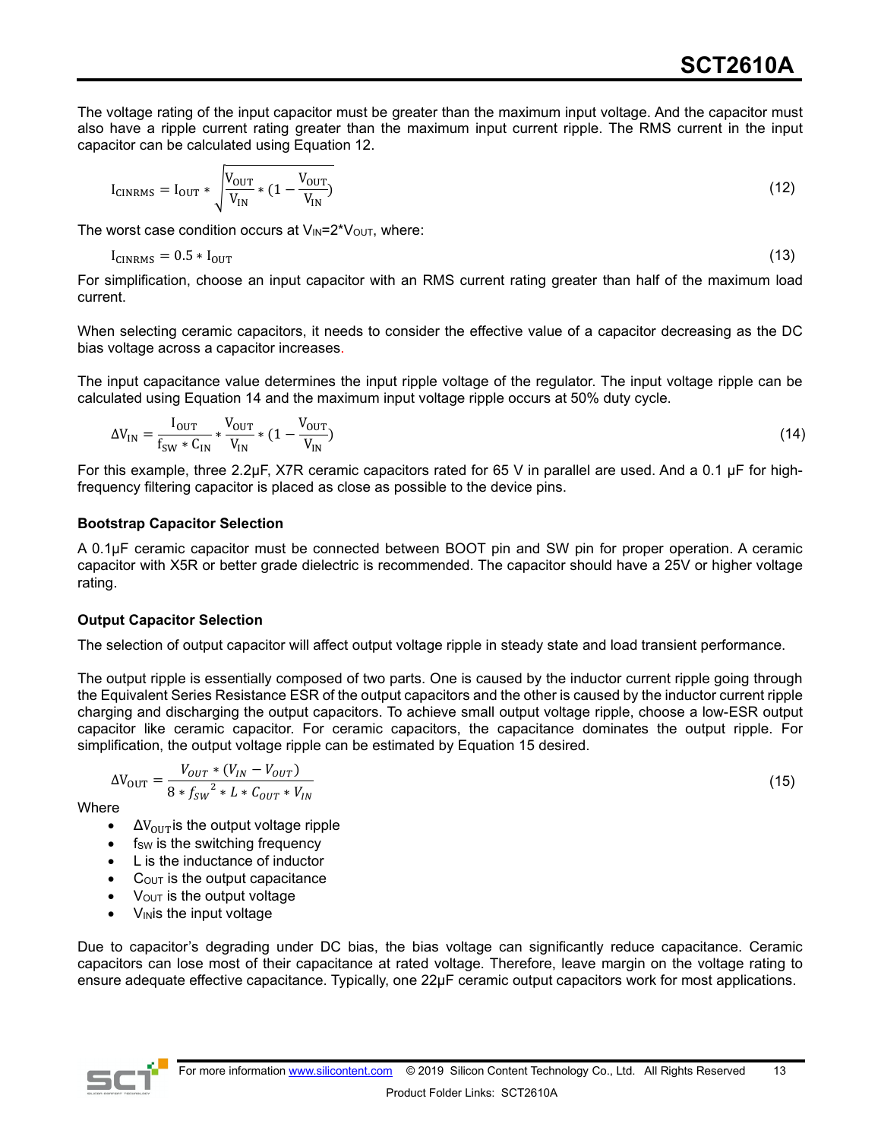The voltage rating of the input capacitor must be greater than the maximum input voltage. And the capacitor must also have a ripple current rating greater than the maximum input current ripple. The RMS current in the input capacitor can be calculated using Equation 12.

$$
I_{\text{CINRMS}} = I_{\text{OUT}} * \sqrt{\frac{V_{\text{OUT}}}{V_{\text{IN}}}} * (1 - \frac{V_{\text{OUT}}}{V_{\text{IN}}})
$$
(12)

The worst case condition occurs at  $V_{IN}=2*V_{OUT}$ , where:

$$
I_{\text{CINRMS}} = 0.5 * I_{\text{OUT}} \tag{13}
$$

For simplification, choose an input capacitor with an RMS current rating greater than half of the maximum load current.

When selecting ceramic capacitors, it needs to consider the effective value of a capacitor decreasing as the DC bias voltage across a capacitor increases.

The input capacitance value determines the input ripple voltage of the regulator. The input voltage ripple can be calculated using Equation 14 and the maximum input voltage ripple occurs at 50% duty cycle.

$$
\Delta V_{IN} = \frac{I_{OUT}}{f_{SW} * C_{IN}} * \frac{V_{OUT}}{V_{IN}} * (1 - \frac{V_{OUT}}{V_{IN}})
$$
(14)

For this example, three 2.2μF, X7R ceramic capacitors rated for 65 V in parallel are used. And a 0.1 μF for highfrequency filtering capacitor is placed as close as possible to the device pins.

#### **Bootstrap Capacitor Selection**

A 0.1μF ceramic capacitor must be connected between BOOT pin and SW pin for proper operation. A ceramic capacitor with X5R or better grade dielectric is recommended. The capacitor should have a 25V or higher voltage rating.

## **Output Capacitor Selection**

The selection of output capacitor will affect output voltage ripple in steady state and load transient performance.

The output ripple is essentially composed of two parts. One is caused by the inductor current ripple going through the Equivalent Series Resistance ESR of the output capacitors and the other is caused by the inductor current ripple charging and discharging the output capacitors. To achieve small output voltage ripple, choose a low-ESR output capacitor like ceramic capacitor. For ceramic capacitors, the capacitance dominates the output ripple. For simplification, the output voltage ripple can be estimated by Equation 15 desired.

$$
\Delta V_{\text{OUT}} = \frac{V_{OUT} * (V_{IN} - V_{OUT})}{8 * f_{SW}^2 * L * C_{OUT} * V_{IN}}
$$

**Where** 

- $\Delta V_{\text{OUT}}$  is the output voltage ripple
- $\bullet$  fsw is the switching frequency
- L is the inductance of inductor
- $\bullet$  C<sub>OUT</sub> is the output capacitance
- $V_{\text{OUT}}$  is the output voltage
- $\bullet$  V<sub>IN</sub> is the input voltage

Due to capacitor's degrading under DC bias, the bias voltage can significantly reduce capacitance. Ceramic capacitors can lose most of their capacitance at rated voltage. Therefore, leave margin on the voltage rating to ensure adequate effective capacitance. Typically, one 22μF ceramic output capacitors work for most applications.



(15)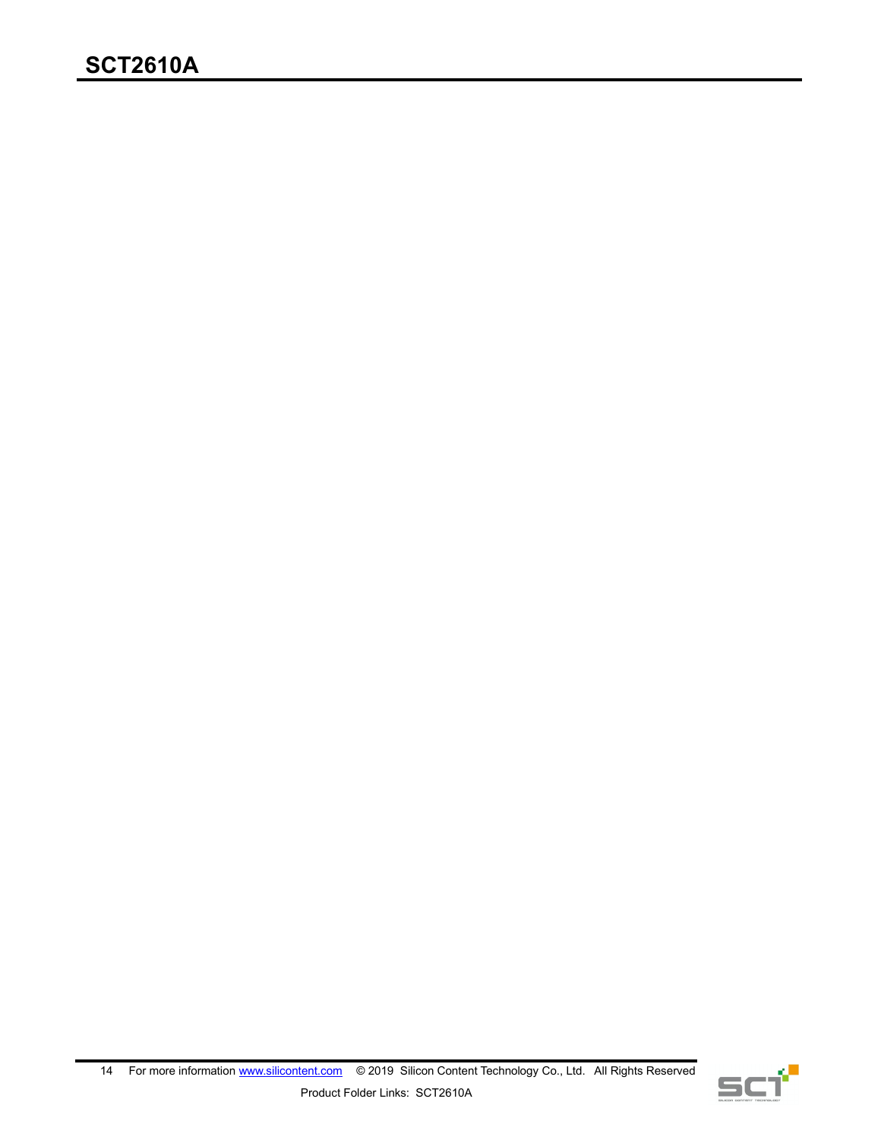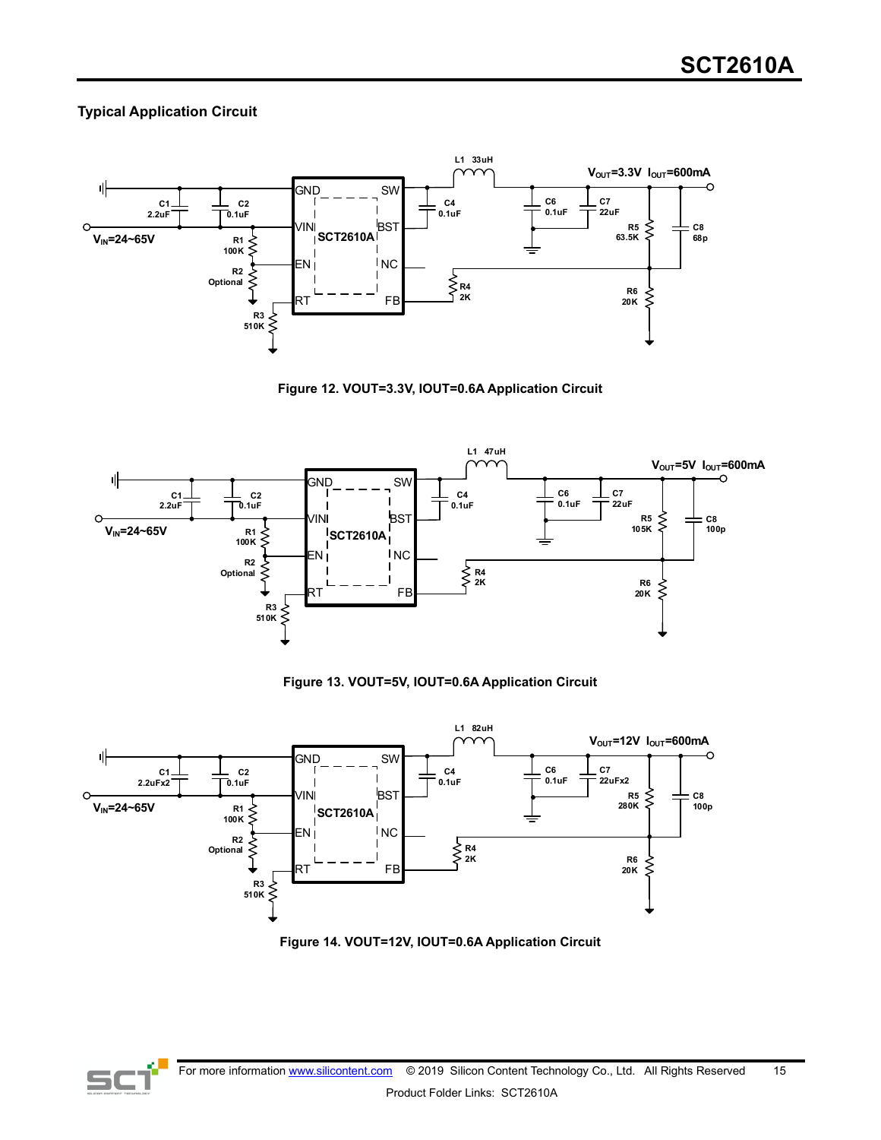## **Typical Application Circuit**











**Figure 14. VOUT=12V, IOUT=0.6A Application Circuit**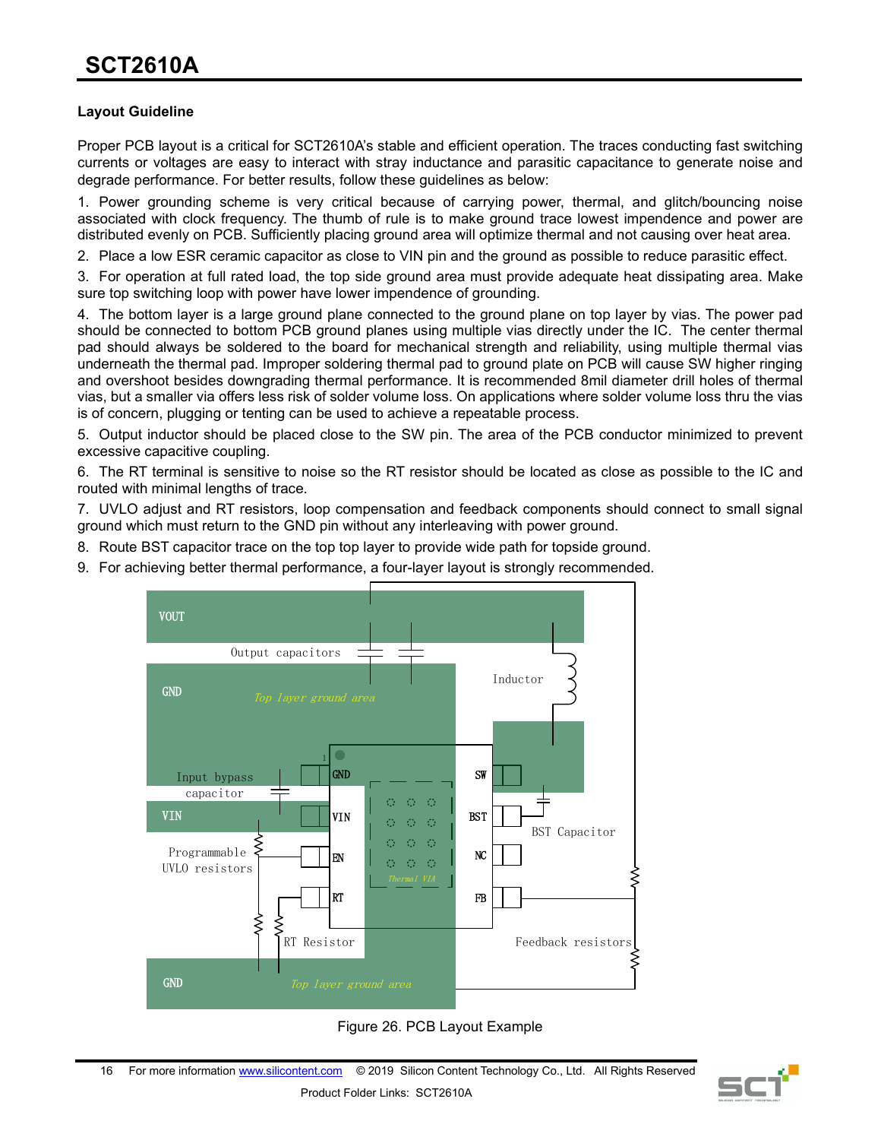## **Layout Guideline**

Proper PCB layout is a critical for SCT2610A's stable and efficient operation. The traces conducting fast switching currents or voltages are easy to interact with stray inductance and parasitic capacitance to generate noise and degrade performance. For better results, follow these guidelines as below:

1. Power grounding scheme is very critical because of carrying power, thermal, and glitch/bouncing noise associated with clock frequency. The thumb of rule is to make ground trace lowest impendence and power are distributed evenly on PCB. Sufficiently placing ground area will optimize thermal and not causing over heat area.

2. Place a low ESR ceramic capacitor as close to VIN pin and the ground as possible to reduce parasitic effect.

3. For operation at full rated load, the top side ground area must provide adequate heat dissipating area. Make sure top switching loop with power have lower impendence of grounding.

4. The bottom layer is a large ground plane connected to the ground plane on top layer by vias. The power pad should be connected to bottom PCB ground planes using multiple vias directly under the IC. The center thermal pad should always be soldered to the board for mechanical strength and reliability, using multiple thermal vias underneath the thermal pad. Improper soldering thermal pad to ground plate on PCB will cause SW higher ringing and overshoot besides downgrading thermal performance. It is recommended 8mil diameter drill holes of thermal vias, but a smaller via offers less risk of solder volume loss. On applications where solder volume loss thru the vias is of concern, plugging or tenting can be used to achieve a repeatable process.

5. Output inductor should be placed close to the SW pin. The area of the PCB conductor minimized to prevent excessive capacitive coupling.

6. The RT terminal is sensitive to noise so the RT resistor should be located as close as possible to the IC and routed with minimal lengths of trace.

7. UVLO adjust and RT resistors, loop compensation and feedback components should connect to small signal ground which must return to the GND pin without any interleaving with power ground.

- 8. Route BST capacitor trace on the top top layer to provide wide path for topside ground.
- 9. For achieving better thermal performance, a four-layer layout is strongly recommended.



Figure 26. PCB Layout Example

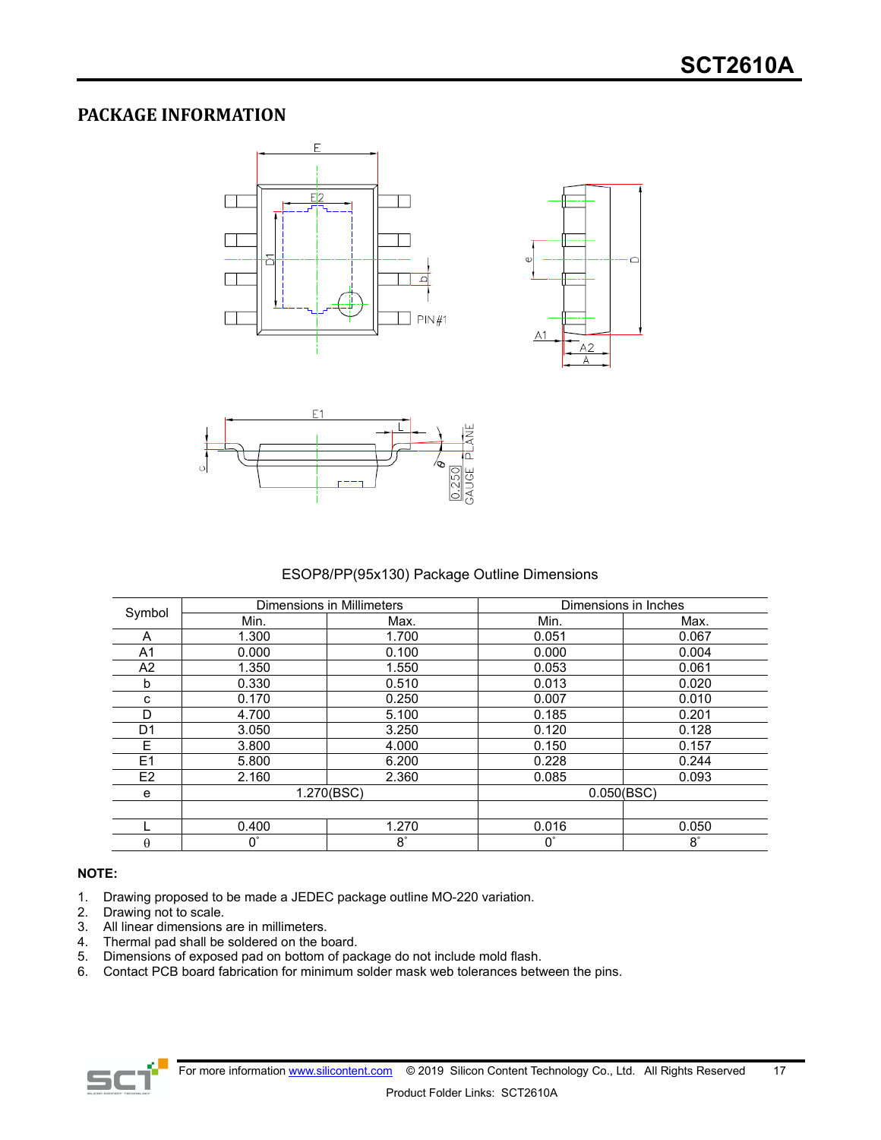# **PACKAGE INFORMATION**







ESOP8/PP(95x130) Package Outline Dimensions

| Symbol         | Dimensions in Millimeters |           | Dimensions in Inches |           |  |
|----------------|---------------------------|-----------|----------------------|-----------|--|
|                | Min.                      | Max.      | Min.                 | Max.      |  |
| A              | 1.300                     | 1.700     | 0.051                | 0.067     |  |
| A1             | 0.000                     | 0.100     | 0.000                | 0.004     |  |
| A <sub>2</sub> | 1.350                     | 1.550     | 0.053                | 0.061     |  |
| b              | 0.330                     | 0.510     | 0.013                | 0.020     |  |
| c              | 0.170                     | 0.250     | 0.007                | 0.010     |  |
| D              | 4.700                     | 5.100     | 0.185                | 0.201     |  |
| D1             | 3.050                     | 3.250     | 0.120                | 0.128     |  |
| Е              | 3.800                     | 4.000     | 0.150                | 0.157     |  |
| E1             | 5.800                     | 6.200     | 0.228                | 0.244     |  |
| E <sub>2</sub> | 2.160                     | 2.360     | 0.085                | 0.093     |  |
| e              | 1.270(BSC)                |           | 0.050(BSC)           |           |  |
|                |                           |           |                      |           |  |
|                | 0.400                     | 1.270     | 0.016                | 0.050     |  |
| θ              | $0^{\circ}$               | $8^\circ$ | $0^{\circ}$          | $8^\circ$ |  |

#### **NOTE:**

- 1. Drawing proposed to be made a JEDEC package outline MO-220 variation.<br>2. Drawing not to scale.
- Drawing not to scale.
- 3. All linear dimensions are in millimeters.
- 4. Thermal pad shall be soldered on the board.
- 5. Dimensions of exposed pad on bottom of package do not include mold flash.
- 6. Contact PCB board fabrication for minimum solder mask web tolerances between the pins.